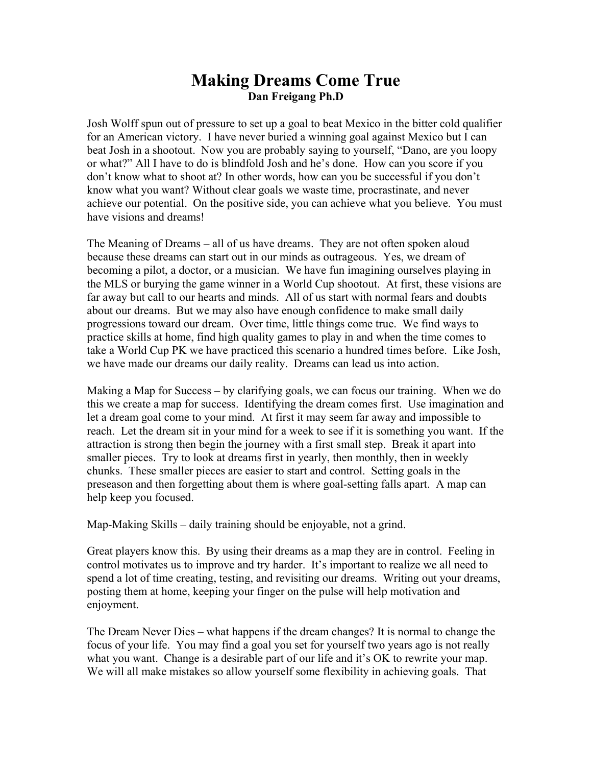## **Making Dreams Come True Dan Freigang Ph.D**

Josh Wolff spun out of pressure to set up a goal to beat Mexico in the bitter cold qualifier for an American victory. I have never buried a winning goal against Mexico but I can beat Josh in a shootout. Now you are probably saying to yourself, "Dano, are you loopy or what?" All I have to do is blindfold Josh and he's done. How can you score if you don't know what to shoot at? In other words, how can you be successful if you don't know what you want? Without clear goals we waste time, procrastinate, and never achieve our potential. On the positive side, you can achieve what you believe. You must have visions and dreams!

The Meaning of Dreams – all of us have dreams. They are not often spoken aloud because these dreams can start out in our minds as outrageous. Yes, we dream of becoming a pilot, a doctor, or a musician. We have fun imagining ourselves playing in the MLS or burying the game winner in a World Cup shootout. At first, these visions are far away but call to our hearts and minds. All of us start with normal fears and doubts about our dreams. But we may also have enough confidence to make small daily progressions toward our dream. Over time, little things come true. We find ways to practice skills at home, find high quality games to play in and when the time comes to take a World Cup PK we have practiced this scenario a hundred times before. Like Josh, we have made our dreams our daily reality. Dreams can lead us into action.

Making a Map for Success – by clarifying goals, we can focus our training. When we do this we create a map for success. Identifying the dream comes first. Use imagination and let a dream goal come to your mind. At first it may seem far away and impossible to reach. Let the dream sit in your mind for a week to see if it is something you want. If the attraction is strong then begin the journey with a first small step. Break it apart into smaller pieces. Try to look at dreams first in yearly, then monthly, then in weekly chunks. These smaller pieces are easier to start and control. Setting goals in the preseason and then forgetting about them is where goal-setting falls apart. A map can help keep you focused.

Map-Making Skills – daily training should be enjoyable, not a grind.

Great players know this. By using their dreams as a map they are in control. Feeling in control motivates us to improve and try harder. It's important to realize we all need to spend a lot of time creating, testing, and revisiting our dreams. Writing out your dreams, posting them at home, keeping your finger on the pulse will help motivation and enjoyment.

The Dream Never Dies – what happens if the dream changes? It is normal to change the focus of your life. You may find a goal you set for yourself two years ago is not really what you want. Change is a desirable part of our life and it's OK to rewrite your map. We will all make mistakes so allow yourself some flexibility in achieving goals. That